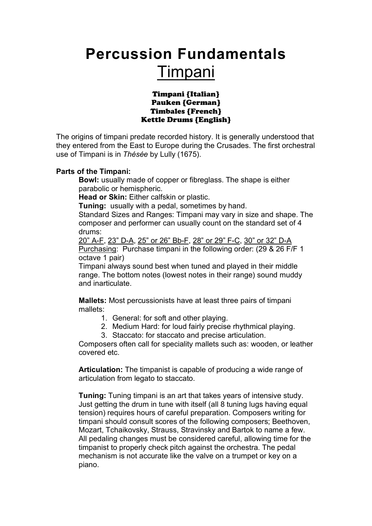# **Percussion Fundamentals** Timpani

Timpani {Italian} Pauken {German} Timbales {French} Kettle Drums {English}

The origins of timpani predate recorded history. It is generally understood that they entered from the East to Europe during the Crusades. The first orchestral use of Timpani is in *Thésée* by Lully (1675).

### **Parts of the Timpani:**

**Bowl:** usually made of copper or fibreglass. The shape is either parabolic or hemispheric.

**Head or Skin:** Either calfskin or plastic.

**Tuning:** usually with a pedal, sometimes by hand.

Standard Sizes and Ranges: Timpani may vary in size and shape. The composer and performer can usually count on the standard set of 4 drums:

20" A-F, 23" D-A, 25" or 26" Bb-F, 28" or 29" F-C, 30" or 32" D-A Purchasing: Purchase timpani in the following order: (29 & 26 F/F 1 octave 1 pair)

Timpani always sound best when tuned and played in their middle range. The bottom notes (lowest notes in their range) sound muddy and inarticulate.

**Mallets:** Most percussionists have at least three pairs of timpani mallets:

- 1. General: for soft and other playing.
- 2. Medium Hard: for loud fairly precise rhythmical playing.
- 3. Staccato: for staccato and precise articulation.

Composers often call for speciality mallets such as: wooden, or leather covered etc.

**Articulation:** The timpanist is capable of producing a wide range of articulation from legato to staccato.

**Tuning:** Tuning timpani is an art that takes years of intensive study. Just getting the drum in tune with itself (all 8 tuning lugs having equal tension) requires hours of careful preparation. Composers writing for timpani should consult scores of the following composers; Beethoven, Mozart, Tchaikovsky, Strauss, Stravinsky and Bartok to name a few. All pedaling changes must be considered careful, allowing time for the timpanist to properly check pitch against the orchestra. The pedal mechanism is not accurate like the valve on a trumpet or key on a piano.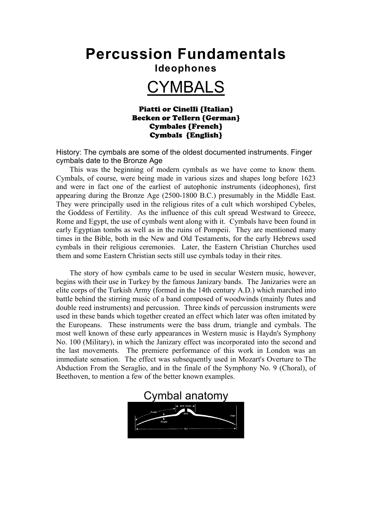## **Percussion Fundamentals**

### **Ideophones**

## CYMBALS

#### Piatti or Cinelli {Italian} Becken or Tellern {German} Cymbales {French} Cymbals {English}

History: The cymbals are some of the oldest documented instruments. Finger cymbals date to the Bronze Age

This was the beginning of modern cymbals as we have come to know them. Cymbals, of course, were being made in various sizes and shapes long before 1623 and were in fact one of the earliest of autophonic instruments (ideophones), first appearing during the Bronze Age (2500-1800 B.C.) presumably in the Middle East. They were principally used in the religious rites of a cult which worshiped Cybeles, the Goddess of Fertility. As the influence of this cult spread Westward to Greece, Rome and Egypt, the use of cymbals went along with it. Cymbals have been found in early Egyptian tombs as well as in the ruins of Pompeii. They are mentioned many times in the Bible, both in the New and Old Testaments, for the early Hebrews used cymbals in their religious ceremonies. Later, the Eastern Christian Churches used them and some Eastern Christian sects still use cymbals today in their rites.

The story of how cymbals came to be used in secular Western music, however, begins with their use in Turkey by the famous Janizary bands. The Janizaries were an elite corps of the Turkish Army (formed in the 14th century A.D.) which marched into battle behind the stirring music of a band composed of woodwinds (mainly flutes and double reed instruments) and percussion. Three kinds of percussion instruments were used in these bands which together created an effect which later was often imitated by the Europeans. These instruments were the bass drum, triangle and cymbals. The most well known of these early appearances in Western music is Haydn's Symphony No. 100 (Military), in which the Janizary effect was incorporated into the second and the last movements. The premiere performance of this work in London was an immediate sensation. The effect was subsequently used in Mozart's Overture to The Abduction From the Seraglio, and in the finale of the Symphony No. 9 (Choral), of Beethoven, to mention a few of the better known examples.

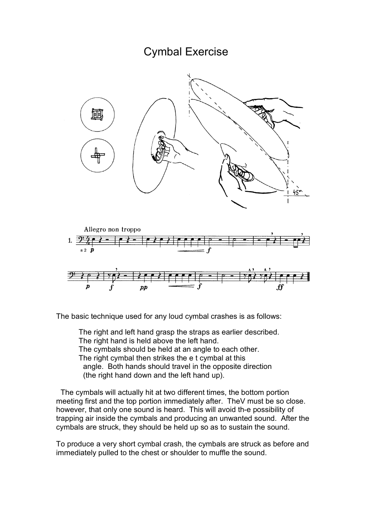### Cymbal Exercise





The basic technique used for any loud cymbal crashes is as follows:

The right and left hand grasp the straps as earlier described. The right hand is held above the left hand. The cymbals should be held at an angle to each other. The right cymbal then strikes the e t cymbal at this angle. Both hands should travel in the opposite direction (the right hand down and the left hand up).

The cymbals will actually hit at two different times, the bottom portion meeting first and the top portion immediately after. TheV must be so close. however, that only one sound is heard. This will avoid th-e possibility of trapping air inside the cymbals and producing an unwanted sound. After the cymbals are struck, they should be held up so as to sustain the sound.

To produce a very short cymbal crash, the cymbals are struck as before and immediately pulled to the chest or shoulder to muffle the sound.